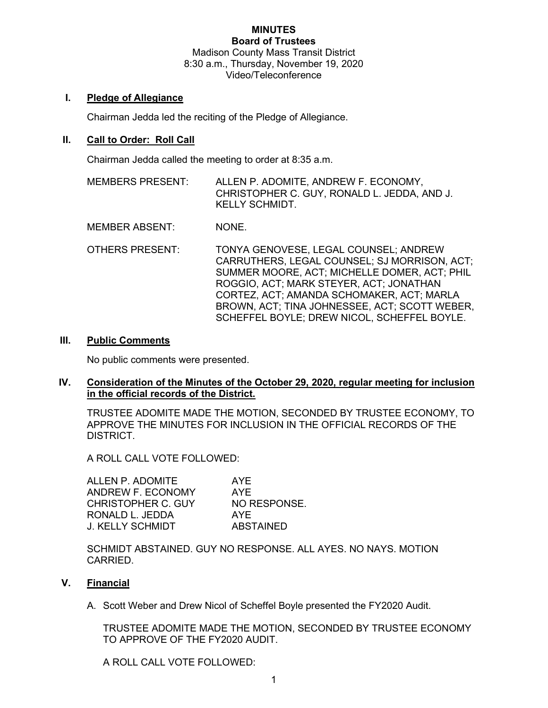#### MINUTES Board of Trustees

Madison County Mass Transit District 8:30 a.m., Thursday, November 19, 2020 Video/Teleconference

### I. Pledge of Allegiance

Chairman Jedda led the reciting of the Pledge of Allegiance.

# II. Call to Order: Roll Call

Chairman Jedda called the meeting to order at 8:35 a.m.

MEMBERS PRESENT: ALLEN P. ADOMITE, ANDREW F. ECONOMY, CHRISTOPHER C. GUY, RONALD L. JEDDA, AND J. KELLY SCHMIDT.

MEMBER ABSENT: NONE.

OTHERS PRESENT: TONYA GENOVESE, LEGAL COUNSEL; ANDREW CARRUTHERS, LEGAL COUNSEL; SJ MORRISON, ACT; SUMMER MOORE, ACT; MICHELLE DOMER, ACT; PHIL ROGGIO, ACT; MARK STEYER, ACT; JONATHAN CORTEZ, ACT; AMANDA SCHOMAKER, ACT; MARLA BROWN, ACT; TINA JOHNESSEE, ACT; SCOTT WEBER, SCHEFFEL BOYLE; DREW NICOL, SCHEFFEL BOYLE.

### III. Public Comments

No public comments were presented.

### IV. Consideration of the Minutes of the October 29, 2020, regular meeting for inclusion in the official records of the District.

TRUSTEE ADOMITE MADE THE MOTION, SECONDED BY TRUSTEE ECONOMY, TO APPROVE THE MINUTES FOR INCLUSION IN THE OFFICIAL RECORDS OF THE DISTRICT.

A ROLL CALL VOTE FOLLOWED:

ALLEN P. ADOMITE AYE ANDREW F. ECONOMY AYE CHRISTOPHER C. GUY NO RESPONSE. RONALD L. JEDDA AYE J. KELLY SCHMIDT ABSTAINED

SCHMIDT ABSTAINED. GUY NO RESPONSE. ALL AYES. NO NAYS. MOTION CARRIED.

# V. Financial

A. Scott Weber and Drew Nicol of Scheffel Boyle presented the FY2020 Audit.

TRUSTEE ADOMITE MADE THE MOTION, SECONDED BY TRUSTEE ECONOMY TO APPROVE OF THE FY2020 AUDIT.

A ROLL CALL VOTE FOLLOWED: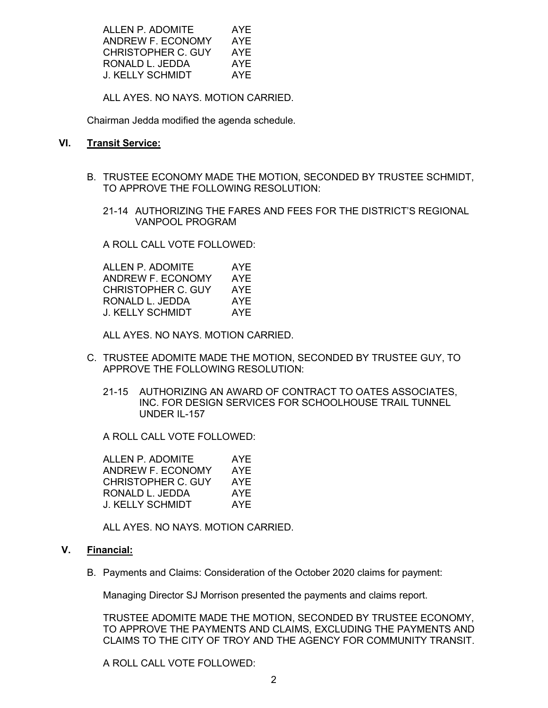ALLEN P. ADOMITE AYE ANDREW F. ECONOMY AYE CHRISTOPHER C. GUY AYE RONALD L. JEDDA AYE J. KELLY SCHMIDT AYE

ALL AYES. NO NAYS. MOTION CARRIED.

Chairman Jedda modified the agenda schedule.

# VI. Transit Service:

- B. TRUSTEE ECONOMY MADE THE MOTION, SECONDED BY TRUSTEE SCHMIDT, TO APPROVE THE FOLLOWING RESOLUTION:
	- 21-14 AUTHORIZING THE FARES AND FEES FOR THE DISTRICT'S REGIONAL VANPOOL PROGRAM

A ROLL CALL VOTE FOLLOWED:

| ALLEN P. ADOMITE   | AYE |
|--------------------|-----|
| ANDREW F. ECONOMY  | AYE |
| CHRISTOPHER C. GUY | AYF |
| RONALD L. JEDDA    | AYE |
| J. KELLY SCHMIDT   | AYF |

ALL AYES. NO NAYS. MOTION CARRIED.

- C. TRUSTEE ADOMITE MADE THE MOTION, SECONDED BY TRUSTEE GUY, TO APPROVE THE FOLLOWING RESOLUTION:
	- 21-15 AUTHORIZING AN AWARD OF CONTRACT TO OATES ASSOCIATES, INC. FOR DESIGN SERVICES FOR SCHOOLHOUSE TRAIL TUNNEL UNDER IL-157

A ROLL CALL VOTE FOLLOWED:

| ALLEN P. ADOMITE   | AYE |
|--------------------|-----|
| ANDREW F. ECONOMY  | AYE |
| CHRISTOPHER C. GUY | AYF |
| RONALD L. JEDDA    | AYE |
| J. KELLY SCHMIDT   | AYF |

ALL AYES. NO NAYS. MOTION CARRIED.

### V. Financial:

B. Payments and Claims: Consideration of the October 2020 claims for payment:

Managing Director SJ Morrison presented the payments and claims report.

TRUSTEE ADOMITE MADE THE MOTION, SECONDED BY TRUSTEE ECONOMY, TO APPROVE THE PAYMENTS AND CLAIMS, EXCLUDING THE PAYMENTS AND CLAIMS TO THE CITY OF TROY AND THE AGENCY FOR COMMUNITY TRANSIT.

A ROLL CALL VOTE FOLLOWED: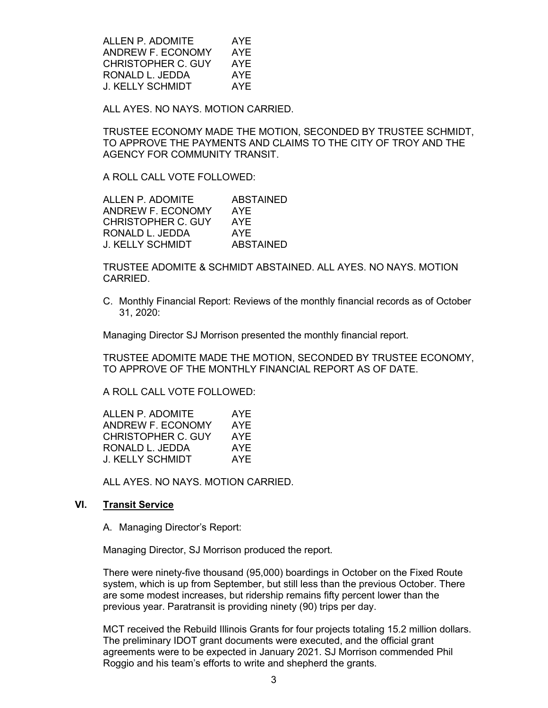ALLEN P. ADOMITE AYE ANDREW F. ECONOMY AYE CHRISTOPHER C. GUY AYE RONALD L. JEDDA AYE J. KELLY SCHMIDT AYE

ALL AYES. NO NAYS. MOTION CARRIED.

TRUSTEE ECONOMY MADE THE MOTION, SECONDED BY TRUSTEE SCHMIDT, TO APPROVE THE PAYMENTS AND CLAIMS TO THE CITY OF TROY AND THE AGENCY FOR COMMUNITY TRANSIT.

A ROLL CALL VOTE FOLLOWED:

| <b>ABSTAINED</b> |
|------------------|
| AYE              |
| AYE              |
| AYF              |
| <b>ABSTAINED</b> |
|                  |

TRUSTEE ADOMITE & SCHMIDT ABSTAINED. ALL AYES. NO NAYS. MOTION CARRIED.

C. Monthly Financial Report: Reviews of the monthly financial records as of October 31, 2020:

Managing Director SJ Morrison presented the monthly financial report.

TRUSTEE ADOMITE MADE THE MOTION, SECONDED BY TRUSTEE ECONOMY, TO APPROVE OF THE MONTHLY FINANCIAL REPORT AS OF DATE.

A ROLL CALL VOTE FOLLOWED:

| ALLEN P. ADOMITE   | AYE |
|--------------------|-----|
| ANDREW F. ECONOMY  | AYE |
| CHRISTOPHER C. GUY | AYE |
| RONALD L. JEDDA    | AYE |
| J. KELLY SCHMIDT   | AYE |

ALL AYES. NO NAYS. MOTION CARRIED.

#### VI. Transit Service

A. Managing Director's Report:

Managing Director, SJ Morrison produced the report.

There were ninety-five thousand (95,000) boardings in October on the Fixed Route system, which is up from September, but still less than the previous October. There are some modest increases, but ridership remains fifty percent lower than the previous year. Paratransit is providing ninety (90) trips per day.

MCT received the Rebuild Illinois Grants for four projects totaling 15.2 million dollars. The preliminary IDOT grant documents were executed, and the official grant agreements were to be expected in January 2021. SJ Morrison commended Phil Roggio and his team's efforts to write and shepherd the grants.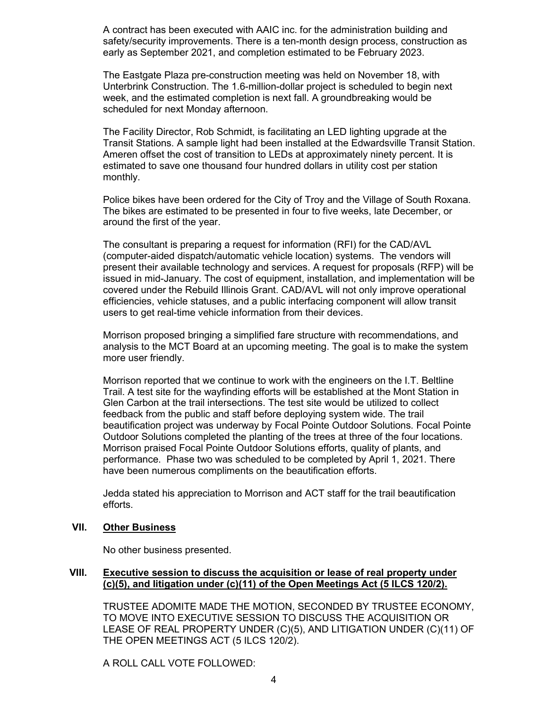A contract has been executed with AAIC inc. for the administration building and safety/security improvements. There is a ten-month design process, construction as early as September 2021, and completion estimated to be February 2023.

The Eastgate Plaza pre-construction meeting was held on November 18, with Unterbrink Construction. The 1.6-million-dollar project is scheduled to begin next week, and the estimated completion is next fall. A groundbreaking would be scheduled for next Monday afternoon.

The Facility Director, Rob Schmidt, is facilitating an LED lighting upgrade at the Transit Stations. A sample light had been installed at the Edwardsville Transit Station. Ameren offset the cost of transition to LEDs at approximately ninety percent. It is estimated to save one thousand four hundred dollars in utility cost per station monthly.

Police bikes have been ordered for the City of Troy and the Village of South Roxana. The bikes are estimated to be presented in four to five weeks, late December, or around the first of the year.

The consultant is preparing a request for information (RFI) for the CAD/AVL (computer-aided dispatch/automatic vehicle location) systems. The vendors will present their available technology and services. A request for proposals (RFP) will be issued in mid-January. The cost of equipment, installation, and implementation will be covered under the Rebuild Illinois Grant. CAD/AVL will not only improve operational efficiencies, vehicle statuses, and a public interfacing component will allow transit users to get real-time vehicle information from their devices.

Morrison proposed bringing a simplified fare structure with recommendations, and analysis to the MCT Board at an upcoming meeting. The goal is to make the system more user friendly.

Morrison reported that we continue to work with the engineers on the I.T. Beltline Trail. A test site for the wayfinding efforts will be established at the Mont Station in Glen Carbon at the trail intersections. The test site would be utilized to collect feedback from the public and staff before deploying system wide. The trail beautification project was underway by Focal Pointe Outdoor Solutions. Focal Pointe Outdoor Solutions completed the planting of the trees at three of the four locations. Morrison praised Focal Pointe Outdoor Solutions efforts, quality of plants, and performance. Phase two was scheduled to be completed by April 1, 2021. There have been numerous compliments on the beautification efforts.

Jedda stated his appreciation to Morrison and ACT staff for the trail beautification efforts.

# VII. Other Business

No other business presented.

### VIII. Executive session to discuss the acquisition or lease of real property under (c)(5), and litigation under (c)(11) of the Open Meetings Act (5 ILCS 120/2).

TRUSTEE ADOMITE MADE THE MOTION, SECONDED BY TRUSTEE ECONOMY, TO MOVE INTO EXECUTIVE SESSION TO DISCUSS THE ACQUISITION OR LEASE OF REAL PROPERTY UNDER (C)(5), AND LITIGATION UNDER (C)(11) OF THE OPEN MEETINGS ACT (5 ILCS 120/2).

A ROLL CALL VOTE FOLLOWED: